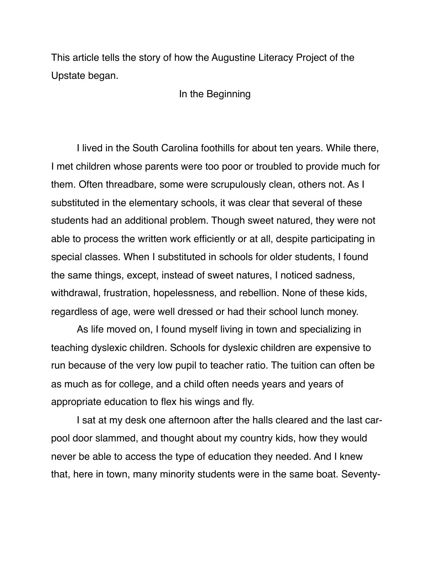This article tells the story of how the Augustine Literacy Project of the Upstate began.

In the Beginning

I lived in the South Carolina foothills for about ten years. While there, I met children whose parents were too poor or troubled to provide much for them. Often threadbare, some were scrupulously clean, others not. As I substituted in the elementary schools, it was clear that several of these students had an additional problem. Though sweet natured, they were not able to process the written work efficiently or at all, despite participating in special classes. When I substituted in schools for older students, I found the same things, except, instead of sweet natures, I noticed sadness, withdrawal, frustration, hopelessness, and rebellion. None of these kids, regardless of age, were well dressed or had their school lunch money.

As life moved on, I found myself living in town and specializing in teaching dyslexic children. Schools for dyslexic children are expensive to run because of the very low pupil to teacher ratio. The tuition can often be as much as for college, and a child often needs years and years of appropriate education to flex his wings and fly.

I sat at my desk one afternoon after the halls cleared and the last carpool door slammed, and thought about my country kids, how they would never be able to access the type of education they needed. And I knew that, here in town, many minority students were in the same boat. Seventy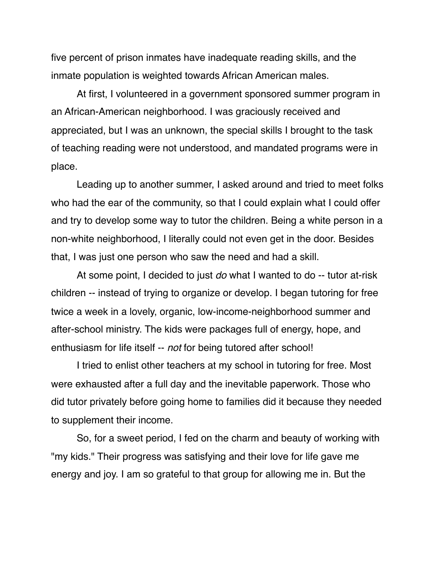five percent of prison inmates have inadequate reading skills, and the inmate population is weighted towards African American males.

At first, I volunteered in a government sponsored summer program in an African-American neighborhood. I was graciously received and appreciated, but I was an unknown, the special skills I brought to the task of teaching reading were not understood, and mandated programs were in place.

Leading up to another summer, I asked around and tried to meet folks who had the ear of the community, so that I could explain what I could offer and try to develop some way to tutor the children. Being a white person in a non-white neighborhood, I literally could not even get in the door. Besides that, I was just one person who saw the need and had a skill.

At some point, I decided to just *do* what I wanted to do -- tutor at-risk children -- instead of trying to organize or develop. I began tutoring for free twice a week in a lovely, organic, low-income-neighborhood summer and after-school ministry. The kids were packages full of energy, hope, and enthusiasm for life itself -- *not* for being tutored after school!

I tried to enlist other teachers at my school in tutoring for free. Most were exhausted after a full day and the inevitable paperwork. Those who did tutor privately before going home to families did it because they needed to supplement their income.

So, for a sweet period, I fed on the charm and beauty of working with "my kids." Their progress was satisfying and their love for life gave me energy and joy. I am so grateful to that group for allowing me in. But the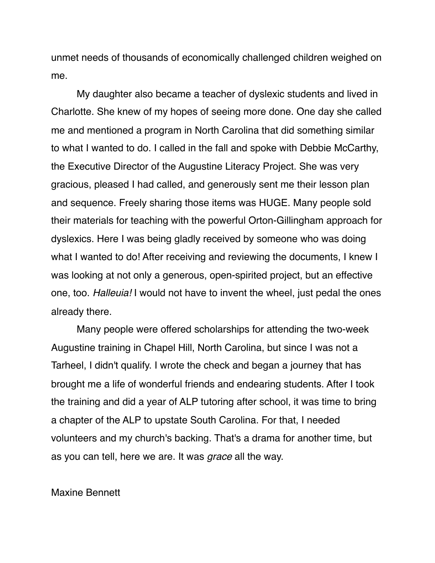unmet needs of thousands of economically challenged children weighed on me.

My daughter also became a teacher of dyslexic students and lived in Charlotte. She knew of my hopes of seeing more done. One day she called me and mentioned a program in North Carolina that did something similar to what I wanted to do. I called in the fall and spoke with Debbie McCarthy, the Executive Director of the Augustine Literacy Project. She was very gracious, pleased I had called, and generously sent me their lesson plan and sequence. Freely sharing those items was HUGE. Many people sold their materials for teaching with the powerful Orton-Gillingham approach for dyslexics. Here I was being gladly received by someone who was doing what I wanted to do! After receiving and reviewing the documents, I knew I was looking at not only a generous, open-spirited project, but an effective one, too. *Halleuia!* I would not have to invent the wheel, just pedal the ones already there.

Many people were offered scholarships for attending the two-week Augustine training in Chapel Hill, North Carolina, but since I was not a Tarheel, I didn't qualify. I wrote the check and began a journey that has brought me a life of wonderful friends and endearing students. After I took the training and did a year of ALP tutoring after school, it was time to bring a chapter of the ALP to upstate South Carolina. For that, I needed volunteers and my church's backing. That's a drama for another time, but as you can tell, here we are. It was *grace* all the way.

## Maxine Bennett